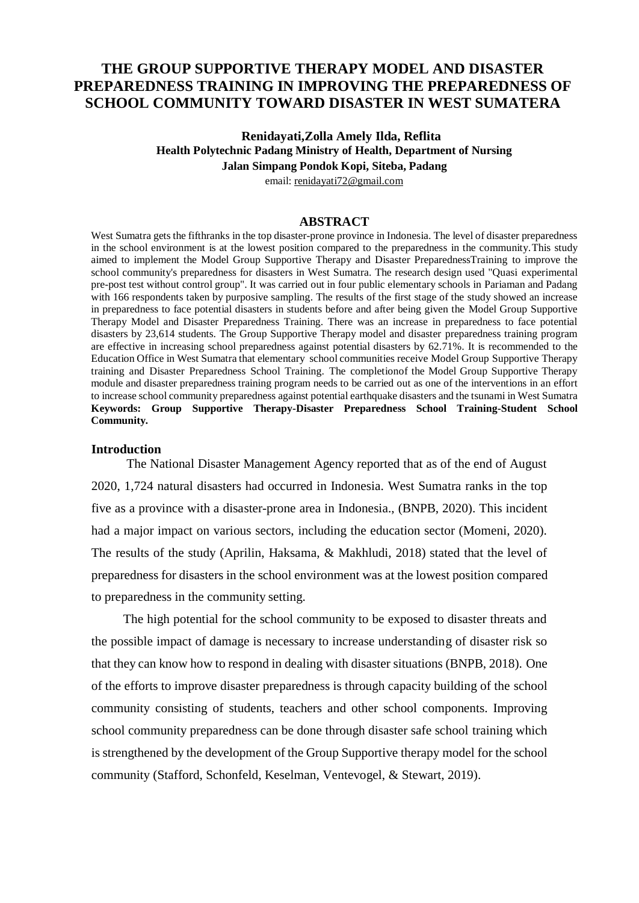# **THE GROUP SUPPORTIVE THERAPY MODEL AND DISASTER PREPAREDNESS TRAINING IN IMPROVING THE PREPAREDNESS OF SCHOOL COMMUNITY TOWARD DISASTER IN WEST SUMATERA**

## **Renidayati,Zolla Amely Ilda, Reflita Health Polytechnic Padang Ministry of Health, Department of Nursing Jalan Simpang Pondok Kopi, Siteba, Padang** email: [renidayati72@gmail.com](mailto:renidayati72@gmail.com)

# **ABSTRACT**

West Sumatra gets the fifthranks in the top disaster-prone province in Indonesia. The level of disaster preparedness in the school environment is at the lowest position compared to the preparedness in the community.This study aimed to implement the Model Group Supportive Therapy and Disaster PreparednessTraining to improve the school community's preparedness for disasters in West Sumatra. The research design used "Quasi experimental pre-post test without control group". It was carried out in four public elementary schools in Pariaman and Padang with 166 respondents taken by purposive sampling. The results of the first stage of the study showed an increase in preparedness to face potential disasters in students before and after being given the Model Group Supportive Therapy Model and Disaster Preparedness Training. There was an increase in preparedness to face potential disasters by 23,614 students. The Group Supportive Therapy model and disaster preparedness training program are effective in increasing school preparedness against potential disasters by 62.71%. It is recommended to the Education Office in West Sumatra that elementary school communities receive Model Group Supportive Therapy training and Disaster Preparedness School Training. The completionof the Model Group Supportive Therapy module and disaster preparedness training program needs to be carried out as one of the interventions in an effort to increase school community preparedness against potential earthquake disasters and the tsunami in West Sumatra **Keywords: Group Supportive Therapy-Disaster Preparedness School Training-Student School Community***.*

#### **Introduction**

The National Disaster Management Agency reported that as of the end of August 2020, 1,724 natural disasters had occurred in Indonesia. West Sumatra ranks in the top five as a province with a disaster-prone area in Indonesia., (BNPB, 2020). This incident had a major impact on various sectors, including the education sector (Momeni, 2020). The results of the study (Aprilin, Haksama, & Makhludi, 2018) stated that the level of preparedness for disasters in the school environment was at the lowest position compared to preparedness in the community setting.

The high potential for the school community to be exposed to disaster threats and the possible impact of damage is necessary to increase understanding of disaster risk so that they can know how to respond in dealing with disaster situations (BNPB, 2018). One of the efforts to improve disaster preparedness is through capacity building of the school community consisting of students, teachers and other school components. Improving school community preparedness can be done through disaster safe school training which is strengthened by the development of the Group Supportive therapy model for the school community (Stafford, Schonfeld, Keselman, Ventevogel, & Stewart, 2019).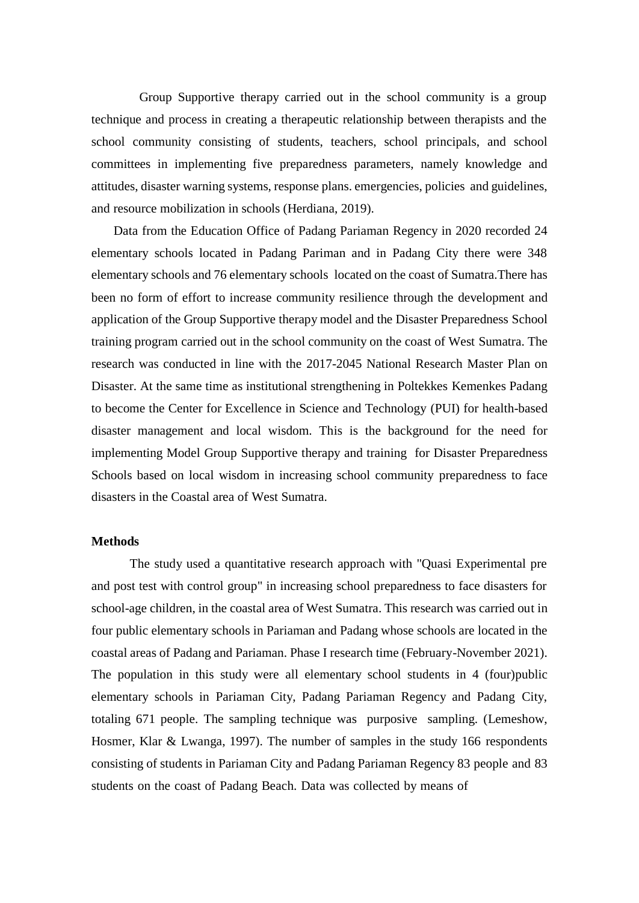Group Supportive therapy carried out in the school community is a group technique and process in creating a therapeutic relationship between therapists and the school community consisting of students, teachers, school principals, and school committees in implementing five preparedness parameters, namely knowledge and attitudes, disaster warning systems, response plans. emergencies, policies and guidelines, and resource mobilization in schools (Herdiana, 2019).

Data from the Education Office of Padang Pariaman Regency in 2020 recorded 24 elementary schools located in Padang Pariman and in Padang City there were 348 elementary schools and 76 elementary schools located on the coast of Sumatra.There has been no form of effort to increase community resilience through the development and application of the Group Supportive therapy model and the Disaster Preparedness School training program carried out in the school community on the coast of West Sumatra. The research was conducted in line with the 2017-2045 National Research Master Plan on Disaster. At the same time as institutional strengthening in Poltekkes Kemenkes Padang to become the Center for Excellence in Science and Technology (PUI) for health-based disaster management and local wisdom. This is the background for the need for implementing Model Group Supportive therapy and training for Disaster Preparedness Schools based on local wisdom in increasing school community preparedness to face disasters in the Coastal area of West Sumatra.

#### **Methods**

The study used a quantitative research approach with "Quasi Experimental pre and post test with control group" in increasing school preparedness to face disasters for school-age children, in the coastal area of West Sumatra. This research was carried out in four public elementary schools in Pariaman and Padang whose schools are located in the coastal areas of Padang and Pariaman. Phase I research time (February-November 2021). The population in this study were all elementary school students in 4 (four)public elementary schools in Pariaman City, Padang Pariaman Regency and Padang City, totaling 671 people. The sampling technique was purposive sampling. (Lemeshow, Hosmer, Klar & Lwanga, 1997). The number of samples in the study 166 respondents consisting of students in Pariaman City and Padang Pariaman Regency 83 people and 83 students on the coast of Padang Beach. Data was collected by means of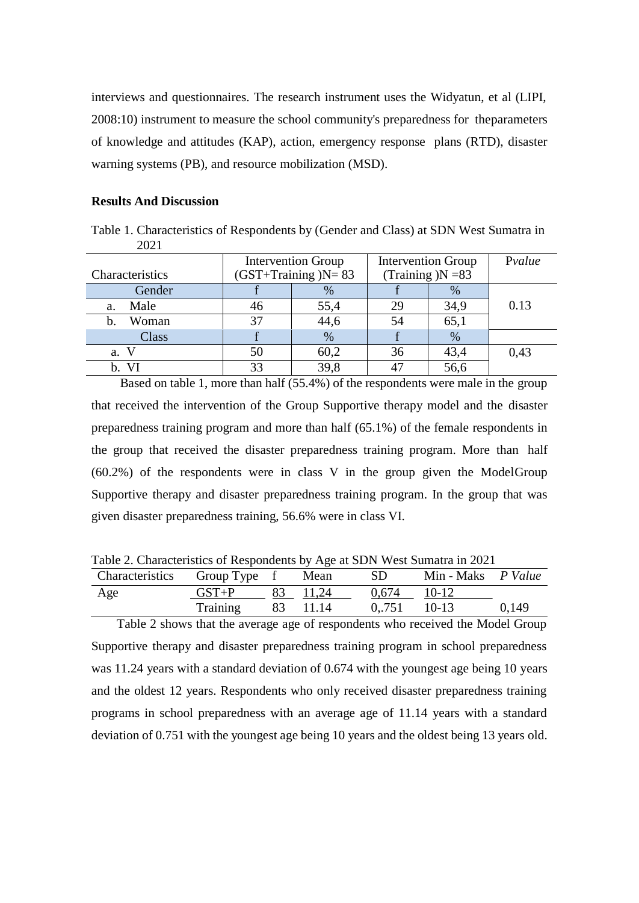interviews and questionnaires. The research instrument uses the Widyatun, et al (LIPI, 2008:10) instrument to measure the school community's preparedness for theparameters of knowledge and attitudes (KAP), action, emergency response plans (RTD), disaster warning systems (PB), and resource mobilization (MSD).

#### **Results And Discussion**

Table 1. Characteristics of Respondents by (Gender and Class) at SDN West Sumatra in 2021

|                        |    | <b>Intervention Group</b> | <b>Intervention Group</b> | Pvalue |      |
|------------------------|----|---------------------------|---------------------------|--------|------|
| Characteristics        |    | $(GST+Training)N=83$      | (Training $)N = 83$       |        |      |
| Gender                 |    | %                         |                           | %      |      |
| Male<br>a.             | 46 | 55,4                      | 29                        | 34,9   | 0.13 |
| Woman<br>$\mathbf b$ . | 37 | 44,6                      | 54                        | 65,1   |      |
| Class                  |    | %                         |                           | $\%$   |      |
| a. V                   | 50 | 60,2                      | 36                        | 43,4   | 0,43 |
| b. VI                  | 33 | 39,8                      |                           | 56,6   |      |

Based on table 1, more than half (55.4%) of the respondents were male in the group that received the intervention of the Group Supportive therapy model and the disaster preparedness training program and more than half (65.1%) of the female respondents in the group that received the disaster preparedness training program. More than half (60.2%) of the respondents were in class V in the group given the ModelGroup Supportive therapy and disaster preparedness training program. In the group that was given disaster preparedness training, 56.6% were in class VI.

Table 2. Characteristics of Respondents by Age at SDN West Sumatra in 2021

| $1.0017$ and $1.0017$ and $1.000$ and $1.000$ and $1.000$ and $1.000$ and $1.000$ and $1.000$ and $1.000$ and $1.000$ and $1.000$ and $1.000$ and $1.000$ and $1.000$ and $1.000$ and $1.000$ and $1.000$ and $1.000$ and $1.$ |           |    |          |       |                           |       |
|--------------------------------------------------------------------------------------------------------------------------------------------------------------------------------------------------------------------------------|-----------|----|----------|-------|---------------------------|-------|
| Characteristics Group Type f                                                                                                                                                                                                   |           |    | Mean     | SD.   | Min - Maks <i>P Value</i> |       |
| Age                                                                                                                                                                                                                            | $GST + P$ | 83 | 11,24    | 0.674 | $10-12$                   |       |
|                                                                                                                                                                                                                                | Training  |    | 83 11.14 | 0751  | $10-13$                   | 0,149 |

Table 2 shows that the average age of respondents who received the Model Group Supportive therapy and disaster preparedness training program in school preparedness was 11.24 years with a standard deviation of 0.674 with the youngest age being 10 years and the oldest 12 years. Respondents who only received disaster preparedness training programs in school preparedness with an average age of 11.14 years with a standard deviation of 0.751 with the youngest age being 10 years and the oldest being 13 years old.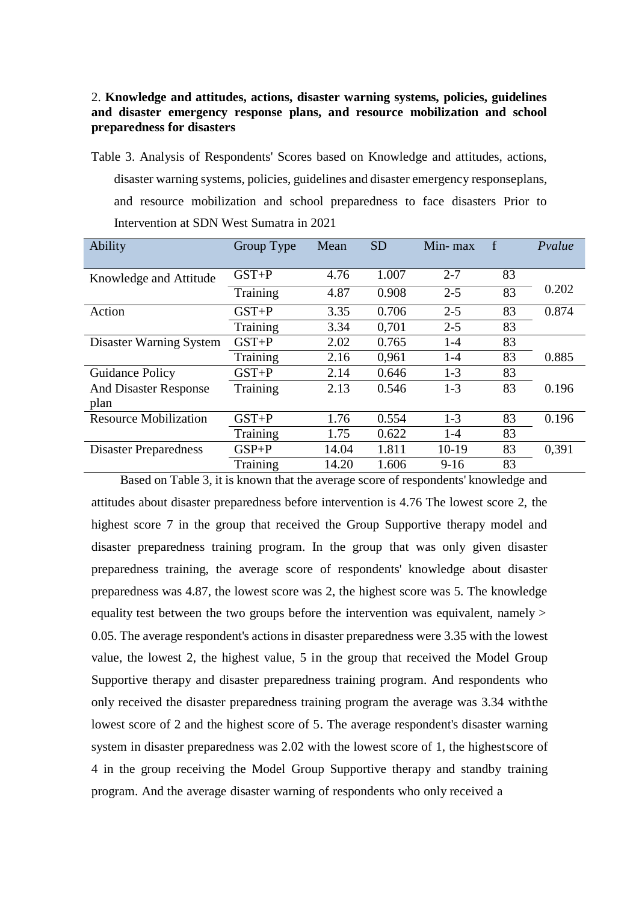# 2. **Knowledge and attitudes, actions, disaster warning systems, policies, guidelines and disaster emergency response plans, and resource mobilization and school preparedness for disasters**

Table 3. Analysis of Respondents' Scores based on Knowledge and attitudes, actions, disaster warning systems, policies, guidelines and disaster emergency responseplans, and resource mobilization and school preparedness to face disasters Prior to Intervention at SDN West Sumatra in 2021

| Ability                      | Group Type | Mean  | <b>SD</b> | Min-max |    | Pvalue |
|------------------------------|------------|-------|-----------|---------|----|--------|
| Knowledge and Attitude       | $GST + P$  | 4.76  | 1.007     | $2 - 7$ | 83 |        |
|                              | Training   | 4.87  | 0.908     | $2 - 5$ | 83 | 0.202  |
| Action                       | $GST + P$  | 3.35  | 0.706     | $2 - 5$ | 83 | 0.874  |
|                              | Training   | 3.34  | 0,701     | $2 - 5$ | 83 |        |
| Disaster Warning System      | $GST + P$  | 2.02  | 0.765     | $1-4$   | 83 |        |
|                              | Training   | 2.16  | 0,961     | $1-4$   | 83 | 0.885  |
| Guidance Policy              | $GST + P$  | 2.14  | 0.646     | $1-3$   | 83 |        |
| <b>And Disaster Response</b> | Training   | 2.13  | 0.546     | $1-3$   | 83 | 0.196  |
| plan                         |            |       |           |         |    |        |
| <b>Resource Mobilization</b> | $GST + P$  | 1.76  | 0.554     | $1-3$   | 83 | 0.196  |
|                              | Training   | 1.75  | 0.622     | $1-4$   | 83 |        |
| <b>Disaster Preparedness</b> | $GSP + P$  | 14.04 | 1.811     | $10-19$ | 83 | 0,391  |
|                              | Training   | 14.20 | 1.606     | $9-16$  | 83 |        |

Based on Table 3, it is known that the average score of respondents' knowledge and attitudes about disaster preparedness before intervention is 4.76 The lowest score 2, the highest score 7 in the group that received the Group Supportive therapy model and disaster preparedness training program. In the group that was only given disaster preparedness training, the average score of respondents' knowledge about disaster preparedness was 4.87, the lowest score was 2, the highest score was 5. The knowledge equality test between the two groups before the intervention was equivalent, namely > 0.05. The average respondent's actions in disaster preparedness were 3.35 with the lowest value, the lowest 2, the highest value, 5 in the group that received the Model Group Supportive therapy and disaster preparedness training program. And respondents who only received the disaster preparedness training program the average was 3.34 withthe lowest score of 2 and the highest score of 5. The average respondent's disaster warning system in disaster preparedness was 2.02 with the lowest score of 1, the highestscore of 4 in the group receiving the Model Group Supportive therapy and standby training program. And the average disaster warning of respondents who only received a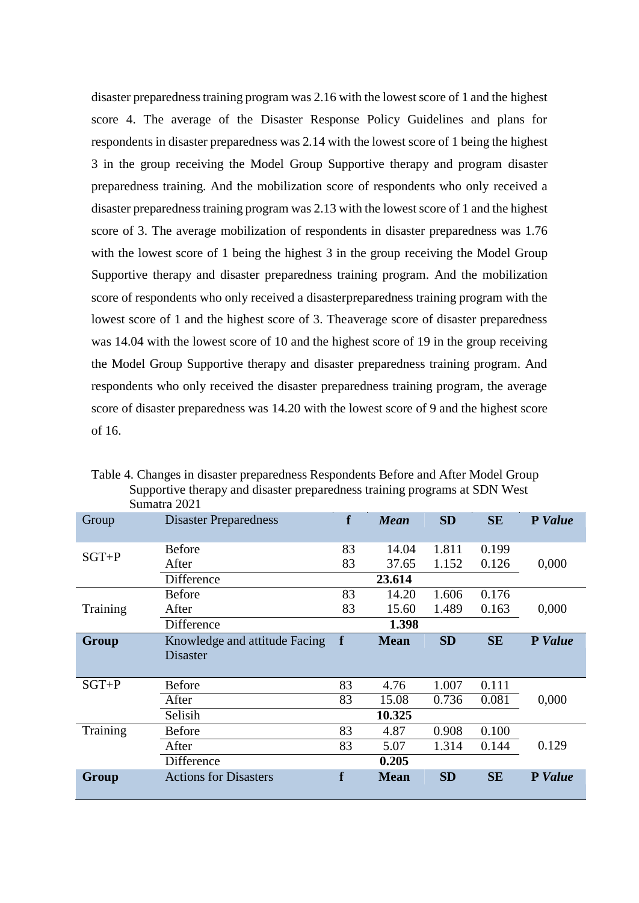disaster preparedness training program was 2.16 with the lowest score of 1 and the highest score 4. The average of the Disaster Response Policy Guidelines and plans for respondents in disaster preparedness was 2.14 with the lowest score of 1 being the highest 3 in the group receiving the Model Group Supportive therapy and program disaster preparedness training. And the mobilization score of respondents who only received a disaster preparedness training program was 2.13 with the lowest score of 1 and the highest score of 3. The average mobilization of respondents in disaster preparedness was 1.76 with the lowest score of 1 being the highest 3 in the group receiving the Model Group Supportive therapy and disaster preparedness training program. And the mobilization score of respondents who only received a disasterpreparedness training program with the lowest score of 1 and the highest score of 3. Theaverage score of disaster preparedness was 14.04 with the lowest score of 10 and the highest score of 19 in the group receiving the Model Group Supportive therapy and disaster preparedness training program. And respondents who only received the disaster preparedness training program, the average score of disaster preparedness was 14.20 with the lowest score of 9 and the highest score of 16.

|           | Sumatra 2021                  |    |             |           |           |                |
|-----------|-------------------------------|----|-------------|-----------|-----------|----------------|
| Group     | <b>Disaster Preparedness</b>  | f  | <b>Mean</b> | <b>SD</b> | <b>SE</b> | P Value        |
|           | <b>Before</b>                 | 83 | 14.04       | 1.811     | 0.199     |                |
| $SGT + P$ | After                         | 83 | 37.65       | 1.152     | 0.126     | 0,000          |
|           | Difference                    |    | 23.614      |           |           |                |
|           | <b>Before</b>                 | 83 | 14.20       | 1.606     | 0.176     |                |
| Training  | After                         | 83 | 15.60       | 1.489     | 0.163     | 0,000          |
|           | Difference                    |    | 1.398       |           |           |                |
| Group     | Knowledge and attitude Facing | f  | <b>Mean</b> | <b>SD</b> | <b>SE</b> | <b>P</b> Value |
|           | <b>Disaster</b>               |    |             |           |           |                |
| $SGT + P$ | <b>Before</b>                 | 83 | 4.76        | 1.007     | 0.111     |                |
|           | After                         | 83 | 15.08       | 0.736     | 0.081     | 0,000          |
|           | Selisih                       |    | 10.325      |           |           |                |
| Training  | <b>Before</b>                 | 83 | 4.87        | 0.908     | 0.100     |                |
|           | After                         | 83 | 5.07        | 1.314     | 0.144     | 0.129          |
|           | Difference                    |    | 0.205       |           |           |                |
| Group     | <b>Actions for Disasters</b>  | f  | <b>Mean</b> | <b>SD</b> | <b>SE</b> | P Value        |

Table 4. Changes in disaster preparedness Respondents Before and After Model Group Supportive therapy and disaster preparedness training programs at SDN West  $\sim$  2021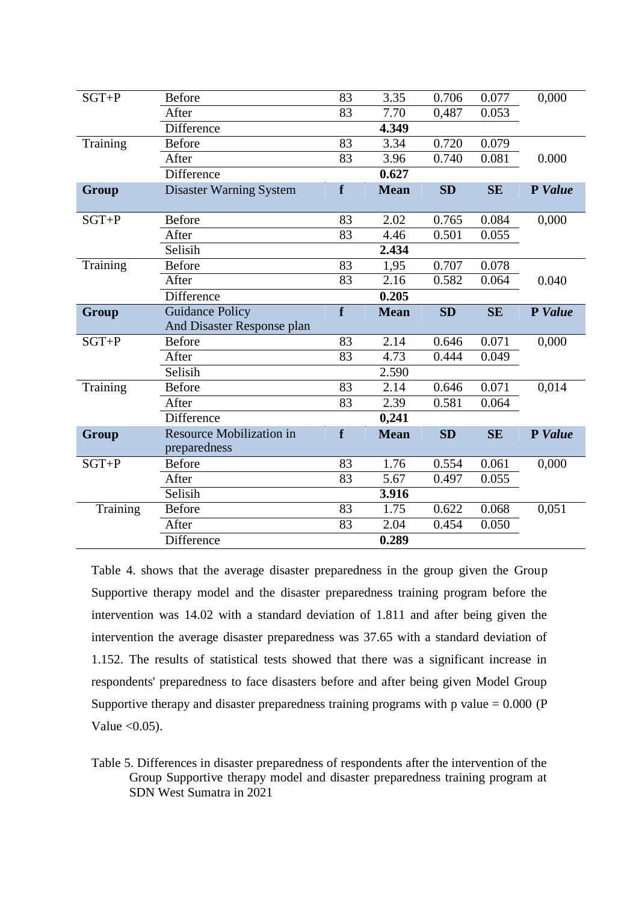| $SGT + P$ | <b>Before</b>                   | 83              | 3.35        | 0.706     | 0.077     | 0,000   |
|-----------|---------------------------------|-----------------|-------------|-----------|-----------|---------|
|           | After                           | 83              | 7.70        | 0,487     | 0.053     |         |
|           | Difference                      |                 | 4.349       |           |           |         |
| Training  | <b>Before</b>                   | 83              | 3.34        | 0.720     | 0.079     |         |
|           | After                           | 83              | 3.96        | 0.740     | 0.081     | 0.000   |
|           | Difference                      |                 | 0.627       |           |           |         |
| Group     | <b>Disaster Warning System</b>  | f               | <b>Mean</b> | <b>SD</b> | <b>SE</b> | P Value |
|           |                                 |                 |             |           |           |         |
| $SGT + P$ | <b>Before</b>                   | 83              | 2.02        | 0.765     | 0.084     | 0,000   |
|           | After                           | 83              | 4.46        | 0.501     | 0.055     |         |
|           | Selisih                         |                 | 2.434       |           |           |         |
| Training  | <b>Before</b>                   | 83              | 1,95        | 0.707     | 0.078     |         |
|           | After                           | $\overline{83}$ | 2.16        | 0.582     | 0.064     | 0.040   |
|           | Difference                      |                 | 0.205       |           |           |         |
| Group     | <b>Guidance Policy</b>          | f               | <b>Mean</b> | SD        | <b>SE</b> | P Value |
|           | And Disaster Response plan      |                 |             |           |           |         |
| $SGT + P$ | <b>Before</b>                   | 83              | 2.14        | 0.646     | 0.071     | 0,000   |
|           | After                           | 83              | 4.73        | 0.444     | 0.049     |         |
|           | Selisih                         |                 | 2.590       |           |           |         |
| Training  | <b>Before</b>                   | $\overline{83}$ | 2.14        | 0.646     | 0.071     | 0,014   |
|           | After                           | 83              | 2.39        | 0.581     | 0.064     |         |
|           | Difference                      |                 | 0,241       |           |           |         |
| Group     | <b>Resource Mobilization in</b> | f               | <b>Mean</b> | <b>SD</b> | <b>SE</b> | P Value |
|           | preparedness                    |                 |             |           |           |         |
| $SGT + P$ | <b>Before</b>                   | 83              | 1.76        | 0.554     | 0.061     | 0,000   |
|           | After                           | 83              | 5.67        | 0.497     | 0.055     |         |
|           | Selisih                         |                 | 3.916       |           |           |         |
| Training  | <b>Before</b>                   | 83              | 1.75        | 0.622     | 0.068     | 0,051   |
|           | After                           | 83              | 2.04        | 0.454     | 0.050     |         |
|           | Difference                      |                 | 0.289       |           |           |         |

Table 4. shows that the average disaster preparedness in the group given the Group Supportive therapy model and the disaster preparedness training program before the intervention was 14.02 with a standard deviation of 1.811 and after being given the intervention the average disaster preparedness was 37.65 with a standard deviation of 1.152. The results of statistical tests showed that there was a significant increase in respondents' preparedness to face disasters before and after being given Model Group Supportive therapy and disaster preparedness training programs with p value  $= 0.000$  (P Value  $< 0.05$ ).

Table 5. Differences in disaster preparedness of respondents after the intervention of the Group Supportive therapy model and disaster preparedness training program at SDN West Sumatra in 2021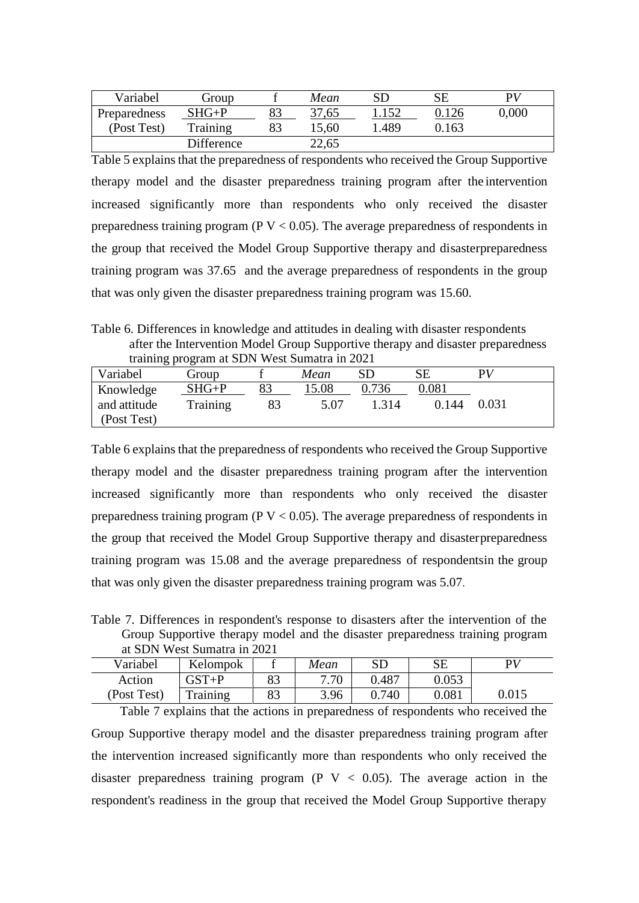| Variabel     | Group      |    | Mean  |       | $\overline{\text{SE}}$ | РV    |
|--------------|------------|----|-------|-------|------------------------|-------|
| Preparedness | SHG+P      | 89 | 37,65 |       |                        | 0,000 |
| (Post Test)  | Training   | 83 | 15,60 | 1.489 | 0.163                  |       |
|              | Difference |    | 22,65 |       |                        |       |

Table 5 explains that the preparedness of respondents who received the Group Supportive therapy model and the disaster preparedness training program after the intervention increased significantly more than respondents who only received the disaster preparedness training program ( $P V < 0.05$ ). The average preparedness of respondents in the group that received the Model Group Supportive therapy and disasterpreparedness training program was 37.65 and the average preparedness of respondents in the group that was only given the disaster preparedness training program was 15.60.

Table 6. Differences in knowledge and attitudes in dealing with disaster respondents after the Intervention Model Group Supportive therapy and disaster preparedness training program at SDN West Sumatra in 2021

| ັ<br>Variabel               | Group    |    | Mean  | SD    | SЕ    | РV    |
|-----------------------------|----------|----|-------|-------|-------|-------|
| Knowledge                   | $SHG+P$  | 83 | 15.08 | 736   | 0.081 |       |
| and attitude<br>(Post Test) | Training |    | 5.07  | 1.314 | 0.144 | 0.031 |
|                             |          |    |       |       |       |       |

Table 6 explains that the preparedness of respondents who received the Group Supportive therapy model and the disaster preparedness training program after the intervention increased significantly more than respondents who only received the disaster preparedness training program ( $P V < 0.05$ ). The average preparedness of respondents in the group that received the Model Group Supportive therapy and disasterpreparedness training program was 15.08 and the average preparedness of respondentsin the group that was only given the disaster preparedness training program was 5.07.

Table 7. Differences in respondent's response to disasters after the intervention of the Group Supportive therapy model and the disaster preparedness training program at SDN West Sumatra in 2021

| Variabel    | Kelompok  |          | Mean | ${\rm SD}$ | SE    | $\mathbf{p}$ |
|-------------|-----------|----------|------|------------|-------|--------------|
| Action      | $GST + P$ | 00       | 7.70 | 0.487      | 0.053 |              |
| (Post Test) | Training  | Q2<br>00 | 3.96 | 0.740      | 0.081 | 0.015        |

Table 7 explains that the actions in preparedness of respondents who received the Group Supportive therapy model and the disaster preparedness training program after the intervention increased significantly more than respondents who only received the disaster preparedness training program (P  $V < 0.05$ ). The average action in the respondent's readiness in the group that received the Model Group Supportive therapy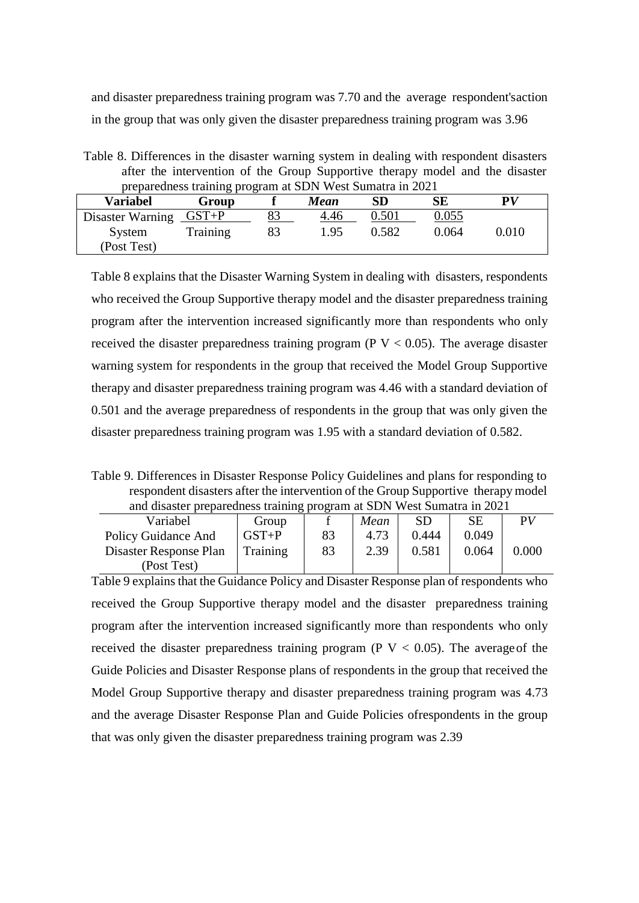and disaster preparedness training program was 7.70 and the average respondent'saction in the group that was only given the disaster preparedness training program was 3.96

Table 8. Differences in the disaster warning system in dealing with respondent disasters after the intervention of the Group Supportive therapy model and the disaster preparedness training program at SDN West Sumatra in 2021

| Variabel                            | Group           |    | Mean | ${\bf SD}$ | SЕ    | ${\bf P}V$ |
|-------------------------------------|-----------------|----|------|------------|-------|------------|
| Disaster Warning $\overline{GST+P}$ |                 | 83 | 4.46 | 0.501      | 0.055 |            |
| System<br>(Post Test)               | <b>Training</b> | 83 | 1.95 | 0.582      | 0.064 | 0.010      |

Table 8 explains that the Disaster Warning System in dealing with disasters, respondents who received the Group Supportive therapy model and the disaster preparedness training program after the intervention increased significantly more than respondents who only received the disaster preparedness training program ( $P V < 0.05$ ). The average disaster warning system for respondents in the group that received the Model Group Supportive therapy and disaster preparedness training program was 4.46 with a standard deviation of 0.501 and the average preparedness of respondents in the group that was only given the disaster preparedness training program was 1.95 with a standard deviation of 0.582.

Table 9. Differences in Disaster Response Policy Guidelines and plans for responding to respondent disasters after the intervention of the Group Supportive therapy model and disaster preparedness training program at SDN West Sumatra in 2021

| Variabel               | Group     |    | Mean | SD    | SЕ    | PV    |  |  |  |
|------------------------|-----------|----|------|-------|-------|-------|--|--|--|
| Policy Guidance And    | $GST + P$ | 83 | 4.73 | 0.444 | 0.049 |       |  |  |  |
| Disaster Response Plan | Training  | 83 | 2.39 | 0.581 | 0.064 | 0.000 |  |  |  |
| (Post Test)            |           |    |      |       |       |       |  |  |  |

Table 9 explains that the Guidance Policy and Disaster Response plan of respondents who received the Group Supportive therapy model and the disaster preparedness training program after the intervention increased significantly more than respondents who only received the disaster preparedness training program ( $P V < 0.05$ ). The average of the Guide Policies and Disaster Response plans of respondents in the group that received the Model Group Supportive therapy and disaster preparedness training program was 4.73 and the average Disaster Response Plan and Guide Policies ofrespondents in the group that was only given the disaster preparedness training program was 2.39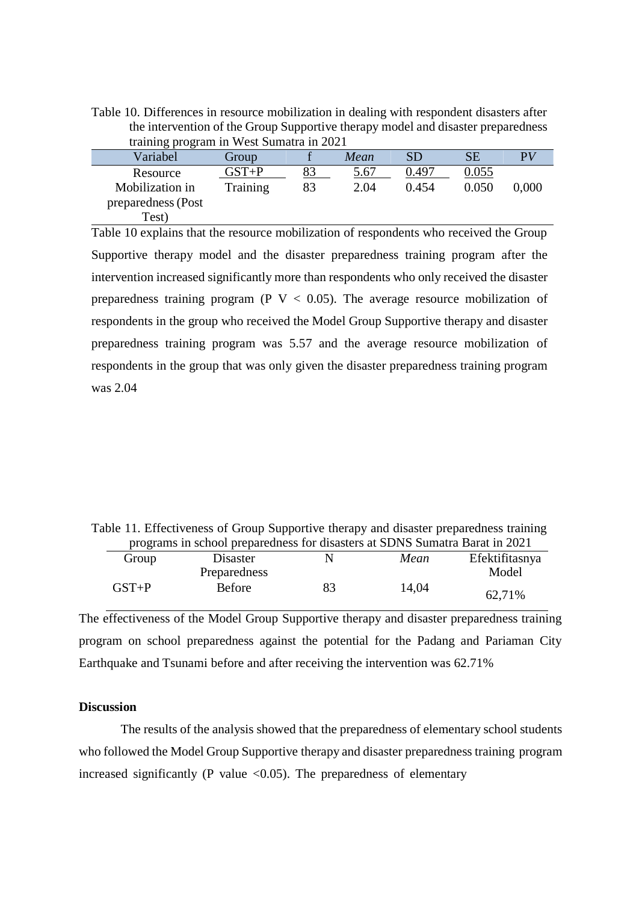Table 10. Differences in resource mobilization in dealing with respondent disasters after the intervention of the Group Supportive therapy model and disaster preparedness training program in West Sumatra in 2021

| $\frac{1}{2}$ $\frac{1}{2}$ $\frac{1}{2}$ $\frac{1}{2}$ $\frac{1}{2}$ $\frac{1}{2}$ $\frac{1}{2}$ $\frac{1}{2}$ $\frac{1}{2}$ $\frac{1}{2}$ $\frac{1}{2}$ $\frac{1}{2}$ $\frac{1}{2}$ $\frac{1}{2}$ $\frac{1}{2}$ $\frac{1}{2}$ $\frac{1}{2}$ $\frac{1}{2}$ $\frac{1}{2}$ $\frac{1}{2}$ $\frac{1}{2}$ $\frac{1}{2}$ |                 |    |      |           |       |              |
|---------------------------------------------------------------------------------------------------------------------------------------------------------------------------------------------------------------------------------------------------------------------------------------------------------------------|-----------------|----|------|-----------|-------|--------------|
| Variabel                                                                                                                                                                                                                                                                                                            | Group           |    | Mean | <b>SD</b> | SЕ    | $\mathbf{p}$ |
| Resource                                                                                                                                                                                                                                                                                                            | $GST{+}P$       | 83 | 5.67 | 0.497     | 0.055 |              |
| Mobilization in                                                                                                                                                                                                                                                                                                     | <b>Training</b> | 83 | 2.04 | 0.454     | 0.050 | 0.000        |
| preparedness (Post                                                                                                                                                                                                                                                                                                  |                 |    |      |           |       |              |
| Test)                                                                                                                                                                                                                                                                                                               |                 |    |      |           |       |              |

Table 10 explains that the resource mobilization of respondents who received the Group Supportive therapy model and the disaster preparedness training program after the intervention increased significantly more than respondents who only received the disaster preparedness training program (P  $V < 0.05$ ). The average resource mobilization of respondents in the group who received the Model Group Supportive therapy and disaster preparedness training program was 5.57 and the average resource mobilization of respondents in the group that was only given the disaster preparedness training program was 2.04

Table 11. Effectiveness of Group Supportive therapy and disaster preparedness training programs in school preparedness for disasters at SDNS Sumatra Barat in 2021

| Group     | Disaster     |    | Mean  | Efektifitasnya |
|-----------|--------------|----|-------|----------------|
|           | Preparedness |    |       | Model          |
| $GST + P$ | Before       | 83 | 14,04 | 62,71%         |

The effectiveness of the Model Group Supportive therapy and disaster preparedness training program on school preparedness against the potential for the Padang and Pariaman City Earthquake and Tsunami before and after receiving the intervention was 62.71%

## **Discussion**

The results of the analysis showed that the preparedness of elementary school students who followed the Model Group Supportive therapy and disaster preparedness training program increased significantly (P value  $\langle 0.05 \rangle$ ). The preparedness of elementary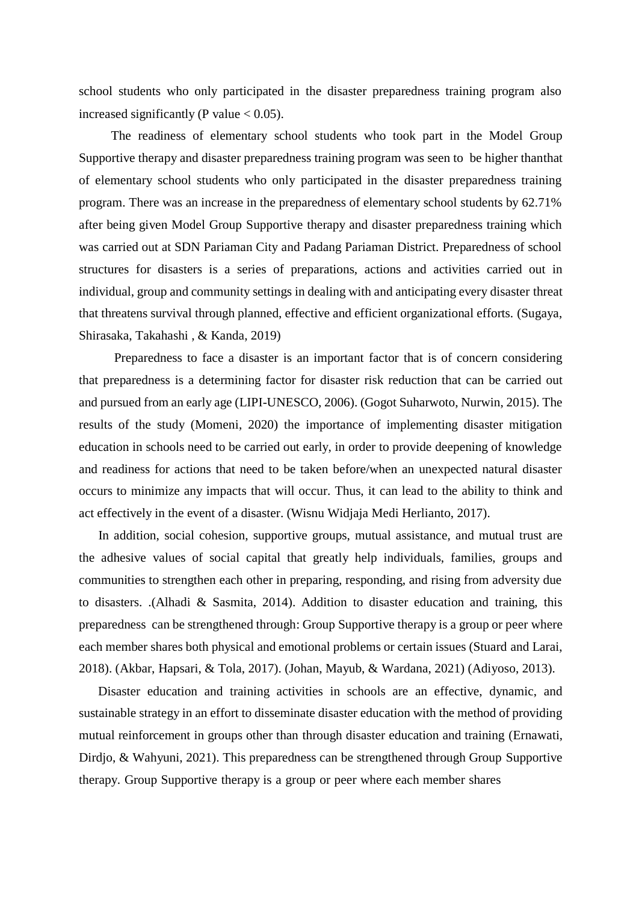school students who only participated in the disaster preparedness training program also increased significantly (P value  $< 0.05$ ).

The readiness of elementary school students who took part in the Model Group Supportive therapy and disaster preparedness training program was seen to be higher thanthat of elementary school students who only participated in the disaster preparedness training program. There was an increase in the preparedness of elementary school students by 62.71% after being given Model Group Supportive therapy and disaster preparedness training which was carried out at SDN Pariaman City and Padang Pariaman District. Preparedness of school structures for disasters is a series of preparations, actions and activities carried out in individual, group and community settings in dealing with and anticipating every disaster threat that threatens survival through planned, effective and efficient organizational efforts. (Sugaya, Shirasaka, Takahashi , & Kanda, 2019)

Preparedness to face a disaster is an important factor that is of concern considering that preparedness is a determining factor for disaster risk reduction that can be carried out and pursued from an early age (LIPI-UNESCO, 2006). (Gogot Suharwoto, Nurwin, 2015). The results of the study (Momeni, 2020) the importance of implementing disaster mitigation education in schools need to be carried out early, in order to provide deepening of knowledge and readiness for actions that need to be taken before/when an unexpected natural disaster occurs to minimize any impacts that will occur. Thus, it can lead to the ability to think and act effectively in the event of a disaster. (Wisnu Widjaja Medi Herlianto, 2017).

In addition, social cohesion, supportive groups, mutual assistance, and mutual trust are the adhesive values of social capital that greatly help individuals, families, groups and communities to strengthen each other in preparing, responding, and rising from adversity due to disasters. .(Alhadi & Sasmita, 2014). Addition to disaster education and training, this preparedness can be strengthened through: Group Supportive therapy is a group or peer where each member shares both physical and emotional problems or certain issues (Stuard and Larai, 2018). (Akbar, Hapsari, & Tola, 2017). (Johan, Mayub, & Wardana, 2021) (Adiyoso, 2013).

Disaster education and training activities in schools are an effective, dynamic, and sustainable strategy in an effort to disseminate disaster education with the method of providing mutual reinforcement in groups other than through disaster education and training (Ernawati, Dirdjo, & Wahyuni, 2021). This preparedness can be strengthened through Group Supportive therapy. Group Supportive therapy is a group or peer where each member shares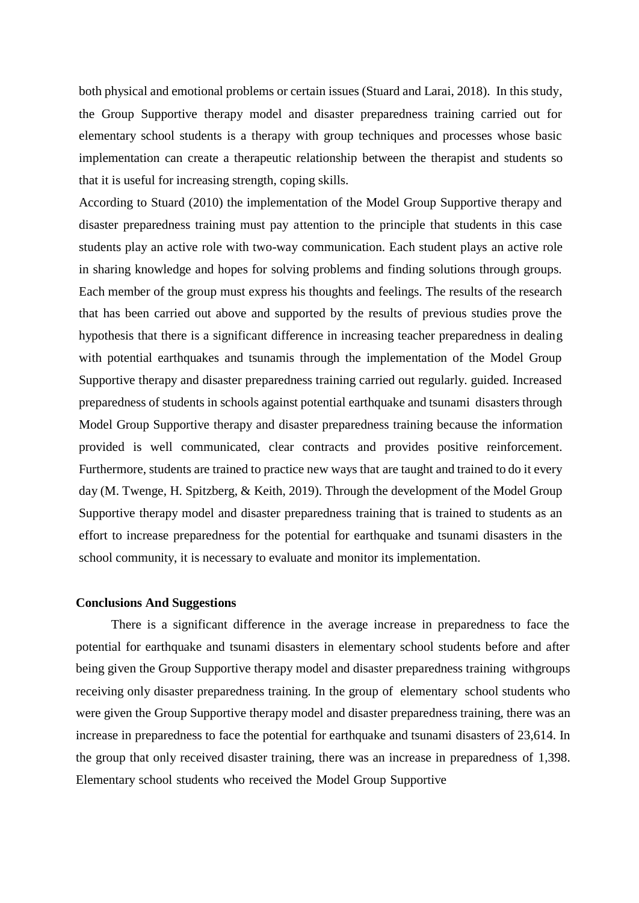both physical and emotional problems or certain issues (Stuard and Larai, 2018). In this study, the Group Supportive therapy model and disaster preparedness training carried out for elementary school students is a therapy with group techniques and processes whose basic implementation can create a therapeutic relationship between the therapist and students so that it is useful for increasing strength, coping skills.

According to Stuard (2010) the implementation of the Model Group Supportive therapy and disaster preparedness training must pay attention to the principle that students in this case students play an active role with two-way communication. Each student plays an active role in sharing knowledge and hopes for solving problems and finding solutions through groups. Each member of the group must express his thoughts and feelings. The results of the research that has been carried out above and supported by the results of previous studies prove the hypothesis that there is a significant difference in increasing teacher preparedness in dealing with potential earthquakes and tsunamis through the implementation of the Model Group Supportive therapy and disaster preparedness training carried out regularly. guided. Increased preparedness of students in schools against potential earthquake and tsunami disasters through Model Group Supportive therapy and disaster preparedness training because the information provided is well communicated, clear contracts and provides positive reinforcement. Furthermore, students are trained to practice new ways that are taught and trained to do it every day (M. Twenge, H. Spitzberg, & Keith, 2019). Through the development of the Model Group Supportive therapy model and disaster preparedness training that is trained to students as an effort to increase preparedness for the potential for earthquake and tsunami disasters in the school community, it is necessary to evaluate and monitor its implementation.

#### **Conclusions And Suggestions**

There is a significant difference in the average increase in preparedness to face the potential for earthquake and tsunami disasters in elementary school students before and after being given the Group Supportive therapy model and disaster preparedness training withgroups receiving only disaster preparedness training. In the group of elementary school students who were given the Group Supportive therapy model and disaster preparedness training, there was an increase in preparedness to face the potential for earthquake and tsunami disasters of 23,614. In the group that only received disaster training, there was an increase in preparedness of 1,398. Elementary school students who received the Model Group Supportive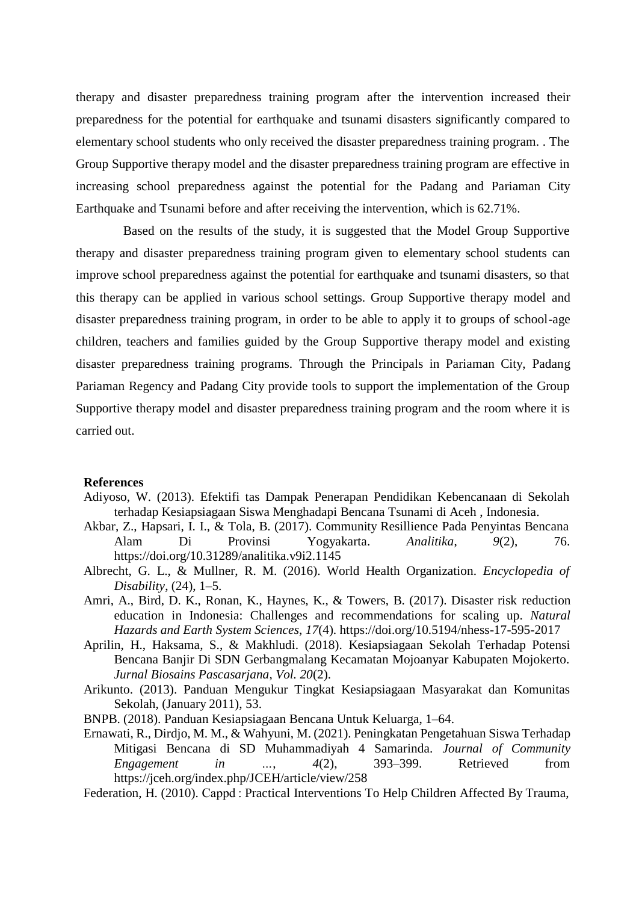therapy and disaster preparedness training program after the intervention increased their preparedness for the potential for earthquake and tsunami disasters significantly compared to elementary school students who only received the disaster preparedness training program. . The Group Supportive therapy model and the disaster preparedness training program are effective in increasing school preparedness against the potential for the Padang and Pariaman City Earthquake and Tsunami before and after receiving the intervention, which is 62.71%.

Based on the results of the study, it is suggested that the Model Group Supportive therapy and disaster preparedness training program given to elementary school students can improve school preparedness against the potential for earthquake and tsunami disasters, so that this therapy can be applied in various school settings. Group Supportive therapy model and disaster preparedness training program, in order to be able to apply it to groups of school-age children, teachers and families guided by the Group Supportive therapy model and existing disaster preparedness training programs. Through the Principals in Pariaman City, Padang Pariaman Regency and Padang City provide tools to support the implementation of the Group Supportive therapy model and disaster preparedness training program and the room where it is carried out.

#### **References**

- Adiyoso, W. (2013). Efektifi tas Dampak Penerapan Pendidikan Kebencanaan di Sekolah terhadap Kesiapsiagaan Siswa Menghadapi Bencana Tsunami di Aceh , Indonesia.
- Akbar, Z., Hapsari, I. I., & Tola, B. (2017). Community Resillience Pada Penyintas Bencana Alam Di Provinsi Yogyakarta. *Analitika*, *9*(2), 76. https://doi.org/10.31289/analitika.v9i2.1145
- Albrecht, G. L., & Mullner, R. M. (2016). World Health Organization. *Encyclopedia of Disability*, (24), 1–5.
- Amri, A., Bird, D. K., Ronan, K., Haynes, K., & Towers, B. (2017). Disaster risk reduction education in Indonesia: Challenges and recommendations for scaling up. *Natural Hazards and Earth System Sciences*, *17*(4). https://doi.org/10.5194/nhess-17-595-2017
- Aprilin, H., Haksama, S., & Makhludi. (2018). Kesiapsiagaan Sekolah Terhadap Potensi Bencana Banjir Di SDN Gerbangmalang Kecamatan Mojoanyar Kabupaten Mojokerto. *Jurnal Biosains Pascasarjana*, *Vol. 20*(2).
- Arikunto. (2013). Panduan Mengukur Tingkat Kesiapsiagaan Masyarakat dan Komunitas Sekolah, (January 2011), 53.
- BNPB. (2018). Panduan Kesiapsiagaan Bencana Untuk Keluarga, 1–64.
- Ernawati, R., Dirdjo, M. M., & Wahyuni, M. (2021). Peningkatan Pengetahuan Siswa Terhadap Mitigasi Bencana di SD Muhammadiyah 4 Samarinda. *Journal of Community Engagement in …*, *4*(2), 393–399. Retrieved from https://jceh.org/index.php/JCEH/article/view/258
- Federation, H. (2010). Cappd : Practical Interventions To Help Children Affected By Trauma,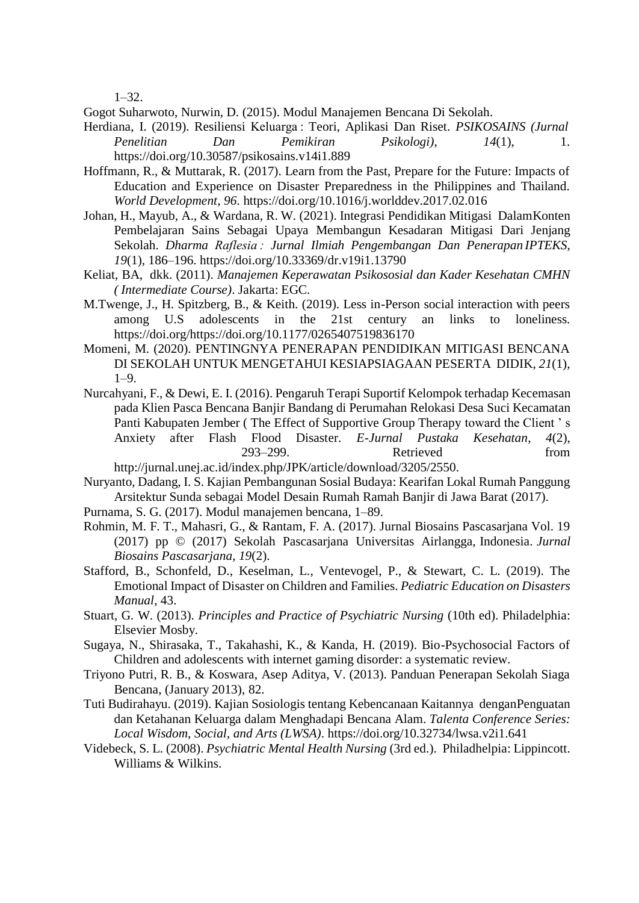1–32.

Gogot Suharwoto, Nurwin, D. (2015). Modul Manajemen Bencana Di Sekolah.

- Herdiana, I. (2019). Resiliensi Keluarga : Teori, Aplikasi Dan Riset. *PSIKOSAINS (Jurnal Penelitian Dan Pemikiran Psikologi)*, *14*(1), 1. https://doi.org/10.30587/psikosains.v14i1.889
- Hoffmann, R., & Muttarak, R. (2017). Learn from the Past, Prepare for the Future: Impacts of Education and Experience on Disaster Preparedness in the Philippines and Thailand. *World Development*, *96*. https://doi.org/10.1016/j.worlddev.2017.02.016
- Johan, H., Mayub, A., & Wardana, R. W. (2021). Integrasi Pendidikan Mitigasi DalamKonten Pembelajaran Sains Sebagai Upaya Membangun Kesadaran Mitigasi Dari Jenjang Sekolah. *Dharma Raflesia : Jurnal Ilmiah Pengembangan Dan Penerapan IPTEKS*, *19*(1), 186–196. https://doi.org/10.33369/dr.v19i1.13790
- Keliat, BA, dkk. (2011). *Manajemen Keperawatan Psikososial dan Kader Kesehatan CMHN ( Intermediate Course)*. Jakarta: EGC.
- M.Twenge, J., H. Spitzberg, B., & Keith. (2019). Less in-Person social interaction with peers among U.S adolescents in the 21st century an links to loneliness. https://doi.org/https://doi.org/10.1177/0265407519836170
- Momeni, M. (2020). PENTINGNYA PENERAPAN PENDIDIKAN MITIGASI BENCANA DI SEKOLAH UNTUK MENGETAHUI KESIAPSIAGAAN PESERTA DIDIK, *21*(1), 1–9.
- Nurcahyani, F., & Dewi, E. I. (2016). Pengaruh Terapi Suportif Kelompok terhadap Kecemasan pada Klien Pasca Bencana Banjir Bandang di Perumahan Relokasi Desa Suci Kecamatan Panti Kabupaten Jember ( The Effect of Supportive Group Therapy toward the Client ' s Anxiety after Flash Flood Disaster. *E-Jurnal Pustaka Kesehatan*, *4*(2), 293–299. Retrieved from

[http://jurnal.unej.ac.id/index.php/JPK/article/download/3205/2550.](http://jurnal.unej.ac.id/index.php/JPK/article/download/3205/2550) Nuryanto, Dadang, I. S. Kajian Pembangunan Sosial Budaya: Kearifan Lokal Rumah Panggung

- Arsitektur Sunda sebagai Model Desain Rumah Ramah Banjir di Jawa Barat (2017).
- Purnama, S. G. (2017). Modul manajemen bencana, 1–89.
- Rohmin, M. F. T., Mahasri, G., & Rantam, F. A. (2017). Jurnal Biosains Pascasarjana Vol. 19 (2017) pp © (2017) Sekolah Pascasarjana Universitas Airlangga, Indonesia. *Jurnal Biosains Pascasarjana*, *19*(2).
- Stafford, B., Schonfeld, D., Keselman, L., Ventevogel, P., & Stewart, C. L. (2019). The Emotional Impact of Disaster on Children and Families. *Pediatric Education on Disasters Manual*, 43.
- Stuart, G. W. (2013). *Principles and Practice of Psychiatric Nursing* (10th ed). Philadelphia: Elsevier Mosby.
- Sugaya, N., Shirasaka, T., Takahashi, K., & Kanda, H. (2019). Bio-Psychosocial Factors of Children and adolescents with internet gaming disorder: a systematic review.
- Triyono Putri, R. B., & Koswara, Asep Aditya, V. (2013). Panduan Penerapan Sekolah Siaga Bencana, (January 2013), 82.
- Tuti Budirahayu. (2019). Kajian Sosiologis tentang Kebencanaan Kaitannya denganPenguatan dan Ketahanan Keluarga dalam Menghadapi Bencana Alam. *Talenta Conference Series: Local Wisdom, Social, and Arts (LWSA)*. https://doi.org/10.32734/lwsa.v2i1.641
- Videbeck, S. L. (2008). *Psychiatric Mental Health Nursing* (3rd ed.). Philadhelpia: Lippincott. Williams & Wilkins.